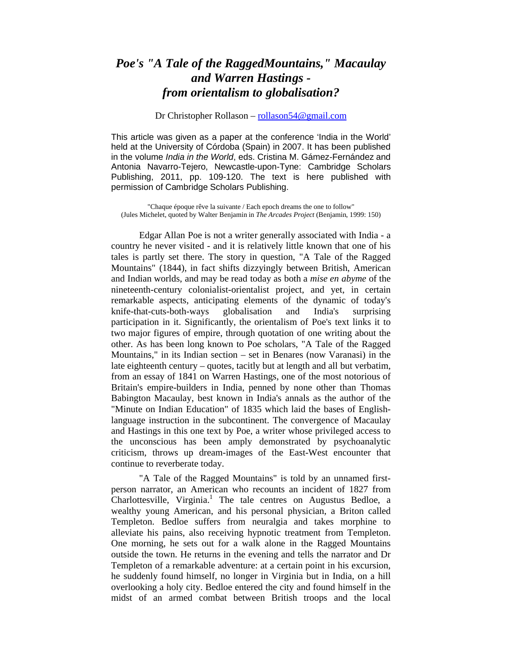## *Poe's "A Tale of the RaggedMountains," Macaulay and Warren Hastings from orientalism to globalisation?*

## Dr Christopher Rollason – rollason54@gmail.com

This article was given as a paper at the conference 'India in the World' held at the University of Córdoba (Spain) in 2007. It has been published in the volume *India in the World*, eds. Cristina M. Gámez-Fernández and Antonia Navarro-Tejero, Newcastle-upon-Tyne: Cambridge Scholars Publishing, 2011, pp. 109-120. The text is here published with permission of Cambridge Scholars Publishing.

"Chaque époque rêve la suivante / Each epoch dreams the one to follow" (Jules Michelet, quoted by Walter Benjamin in *The Arcades Project* (Benjamin, 1999: 150)

Edgar Allan Poe is not a writer generally associated with India - a country he never visited - and it is relatively little known that one of his tales is partly set there. The story in question, "A Tale of the Ragged Mountains" (1844), in fact shifts dizzyingly between British, American and Indian worlds, and may be read today as both a *mise en abyme* of the nineteenth-century colonialist-orientalist project, and yet, in certain remarkable aspects, anticipating elements of the dynamic of today's knife-that-cuts-both-ways globalisation and India's surprising participation in it. Significantly, the orientalism of Poe's text links it to two major figures of empire, through quotation of one writing about the other. As has been long known to Poe scholars, "A Tale of the Ragged Mountains," in its Indian section – set in Benares (now Varanasi) in the late eighteenth century – quotes, tacitly but at length and all but verbatim, from an essay of 1841 on Warren Hastings, one of the most notorious of Britain's empire-builders in India, penned by none other than Thomas Babington Macaulay, best known in India's annals as the author of the "Minute on Indian Education" of 1835 which laid the bases of Englishlanguage instruction in the subcontinent. The convergence of Macaulay and Hastings in this one text by Poe, a writer whose privileged access to the unconscious has been amply demonstrated by psychoanalytic criticism, throws up dream-images of the East-West encounter that continue to reverberate today.

"A Tale of the Ragged Mountains" is told by an unnamed firstperson narrator, an American who recounts an incident of 1827 from Charlottesville, Virginia.<sup>1</sup> The tale centres on Augustus Bedloe, a wealthy young American, and his personal physician, a Briton called Templeton. Bedloe suffers from neuralgia and takes morphine to alleviate his pains, also receiving hypnotic treatment from Templeton. One morning, he sets out for a walk alone in the Ragged Mountains outside the town. He returns in the evening and tells the narrator and Dr Templeton of a remarkable adventure: at a certain point in his excursion, he suddenly found himself, no longer in Virginia but in India, on a hill overlooking a holy city. Bedloe entered the city and found himself in the midst of an armed combat between British troops and the local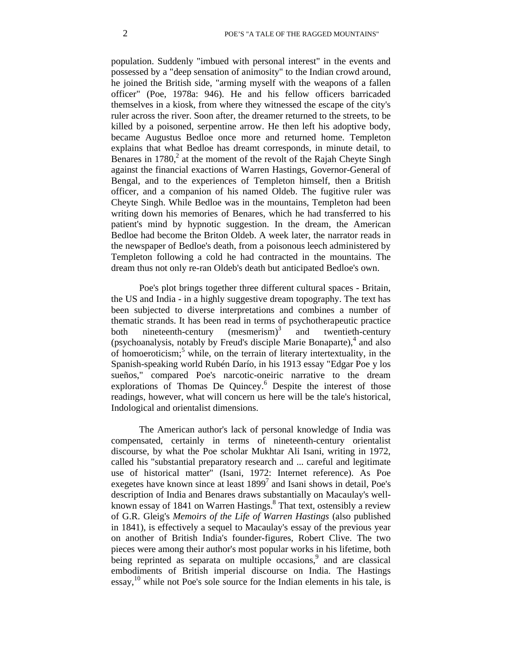population. Suddenly "imbued with personal interest" in the events and possessed by a "deep sensation of animosity" to the Indian crowd around, he joined the British side, "arming myself with the weapons of a fallen officer" (Poe, 1978a: 946). He and his fellow officers barricaded themselves in a kiosk, from where they witnessed the escape of the city's ruler across the river. Soon after, the dreamer returned to the streets, to be killed by a poisoned, serpentine arrow. He then left his adoptive body, became Augustus Bedloe once more and returned home. Templeton explains that what Bedloe has dreamt corresponds, in minute detail, to Benares in 1780, $\frac{2}{3}$  at the moment of the revolt of the Rajah Cheyte Singh against the financial exactions of Warren Hastings, Governor-General of Bengal, and to the experiences of Templeton himself, then a British officer, and a companion of his named Oldeb. The fugitive ruler was Cheyte Singh. While Bedloe was in the mountains, Templeton had been writing down his memories of Benares, which he had transferred to his patient's mind by hypnotic suggestion. In the dream, the American Bedloe had become the Briton Oldeb. A week later, the narrator reads in the newspaper of Bedloe's death, from a poisonous leech administered by Templeton following a cold he had contracted in the mountains. The dream thus not only re-ran Oldeb's death but anticipated Bedloe's own.

Poe's plot brings together three different cultural spaces - Britain, the US and India - in a highly suggestive dream topography. The text has been subjected to diverse interpretations and combines a number of thematic strands. It has been read in terms of psychotherapeutic practice both nineteenth-century (mesmerism)<sup>3</sup> and twentieth-century (psychoanalysis, notably by Freud's disciple Marie Bonaparte),  $4$  and also of homoeroticism;<sup>5</sup> while, on the terrain of literary intertextuality, in the Spanish-speaking world Rubén Darío, in his 1913 essay "Edgar Poe y los sueños," compared Poe's narcotic-oneiric narrative to the dream explorations of Thomas De Quincey.<sup>6</sup> Despite the interest of those readings, however, what will concern us here will be the tale's historical, Indological and orientalist dimensions.

The American author's lack of personal knowledge of India was compensated, certainly in terms of nineteenth-century orientalist discourse, by what the Poe scholar Mukhtar Ali Isani, writing in 1972, called his "substantial preparatory research and ... careful and legitimate use of historical matter" (Isani, 1972: Internet reference). As Poe exegetes have known since at least  $1899<sup>7</sup>$  and Isani shows in detail, Poe's description of India and Benares draws substantially on Macaulay's wellknown essay of 1841 on Warren Hastings.<sup>8</sup> That text, ostensibly a review of G.R. Gleig's *Memoirs of the Life of Warren Hastings* (also published in 1841), is effectively a sequel to Macaulay's essay of the previous year on another of British India's founder-figures, Robert Clive. The two pieces were among their author's most popular works in his lifetime, both being reprinted as separata on multiple occasions,  $9$  and are classical embodiments of British imperial discourse on India. The Hastings essay,<sup>10</sup> while not Poe's sole source for the Indian elements in his tale, is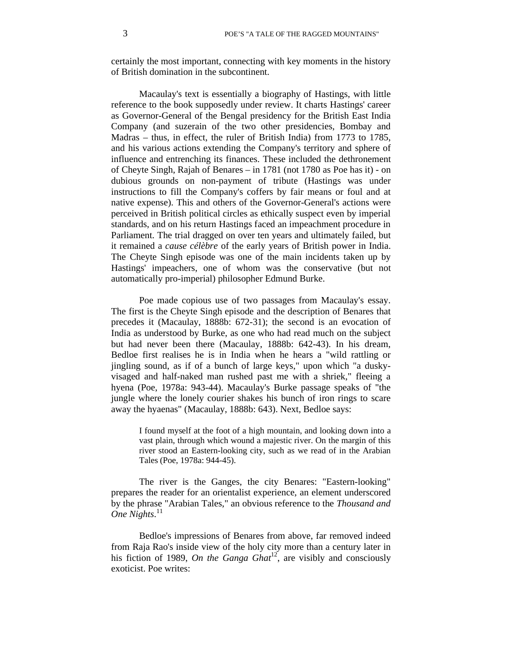certainly the most important, connecting with key moments in the history of British domination in the subcontinent.

Macaulay's text is essentially a biography of Hastings, with little reference to the book supposedly under review. It charts Hastings' career as Governor-General of the Bengal presidency for the British East India Company (and suzerain of the two other presidencies, Bombay and Madras – thus, in effect, the ruler of British India) from 1773 to 1785, and his various actions extending the Company's territory and sphere of influence and entrenching its finances. These included the dethronement of Cheyte Singh, Rajah of Benares – in 1781 (not 1780 as Poe has it) - on dubious grounds on non-payment of tribute (Hastings was under instructions to fill the Company's coffers by fair means or foul and at native expense). This and others of the Governor-General's actions were perceived in British political circles as ethically suspect even by imperial standards, and on his return Hastings faced an impeachment procedure in Parliament. The trial dragged on over ten years and ultimately failed, but it remained a *cause célèbre* of the early years of British power in India. The Cheyte Singh episode was one of the main incidents taken up by Hastings' impeachers, one of whom was the conservative (but not automatically pro-imperial) philosopher Edmund Burke.

Poe made copious use of two passages from Macaulay's essay. The first is the Cheyte Singh episode and the description of Benares that precedes it (Macaulay, 1888b: 672-31); the second is an evocation of India as understood by Burke, as one who had read much on the subject but had never been there (Macaulay, 1888b: 642-43). In his dream, Bedloe first realises he is in India when he hears a "wild rattling or jingling sound, as if of a bunch of large keys," upon which "a duskyvisaged and half-naked man rushed past me with a shriek," fleeing a hyena (Poe, 1978a: 943-44). Macaulay's Burke passage speaks of "the jungle where the lonely courier shakes his bunch of iron rings to scare away the hyaenas" (Macaulay, 1888b: 643). Next, Bedloe says:

I found myself at the foot of a high mountain, and looking down into a vast plain, through which wound a majestic river. On the margin of this river stood an Eastern-looking city, such as we read of in the Arabian Tales (Poe, 1978a: 944-45).

The river is the Ganges, the city Benares: "Eastern-looking" prepares the reader for an orientalist experience, an element underscored by the phrase "Arabian Tales," an obvious reference to the *Thousand and One Nights*. 11

Bedloe's impressions of Benares from above, far removed indeed from Raja Rao's inside view of the holy city more than a century later in his fiction of 1989, *On the Ganga Ghat*<sup>12</sup>, are visibly and consciously exoticist. Poe writes: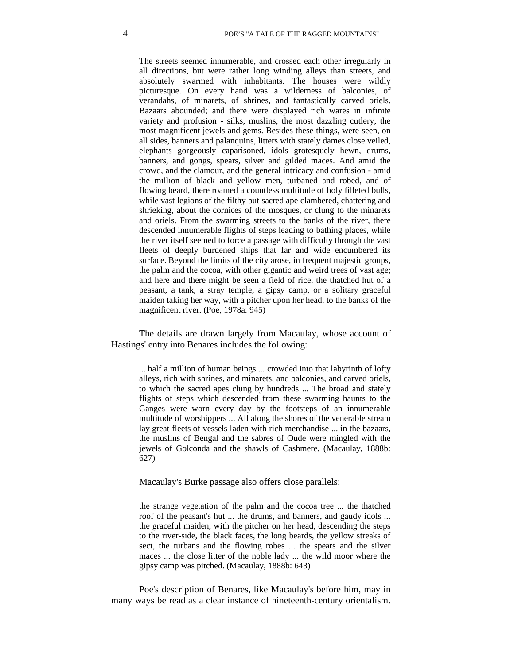The streets seemed innumerable, and crossed each other irregularly in all directions, but were rather long winding alleys than streets, and absolutely swarmed with inhabitants. The houses were wildly picturesque. On every hand was a wilderness of balconies, of verandahs, of minarets, of shrines, and fantastically carved oriels. Bazaars abounded; and there were displayed rich wares in infinite variety and profusion - silks, muslins, the most dazzling cutlery, the most magnificent jewels and gems. Besides these things, were seen, on all sides, banners and palanquins, litters with stately dames close veiled, elephants gorgeously caparisoned, idols grotesquely hewn, drums, banners, and gongs, spears, silver and gilded maces. And amid the crowd, and the clamour, and the general intricacy and confusion - amid the million of black and yellow men, turbaned and robed, and of flowing beard, there roamed a countless multitude of holy filleted bulls, while vast legions of the filthy but sacred ape clambered, chattering and shrieking, about the cornices of the mosques, or clung to the minarets and oriels. From the swarming streets to the banks of the river, there descended innumerable flights of steps leading to bathing places, while the river itself seemed to force a passage with difficulty through the vast fleets of deeply burdened ships that far and wide encumbered its surface. Beyond the limits of the city arose, in frequent majestic groups, the palm and the cocoa, with other gigantic and weird trees of vast age; and here and there might be seen a field of rice, the thatched hut of a peasant, a tank, a stray temple, a gipsy camp, or a solitary graceful maiden taking her way, with a pitcher upon her head, to the banks of the magnificent river. (Poe, 1978a: 945)

The details are drawn largely from Macaulay, whose account of Hastings' entry into Benares includes the following:

... half a million of human beings ... crowded into that labyrinth of lofty alleys, rich with shrines, and minarets, and balconies, and carved oriels, to which the sacred apes clung by hundreds ... The broad and stately flights of steps which descended from these swarming haunts to the Ganges were worn every day by the footsteps of an innumerable multitude of worshippers ... All along the shores of the venerable stream lay great fleets of vessels laden with rich merchandise ... in the bazaars, the muslins of Bengal and the sabres of Oude were mingled with the jewels of Golconda and the shawls of Cashmere. (Macaulay, 1888b: 627)

Macaulay's Burke passage also offers close parallels:

the strange vegetation of the palm and the cocoa tree ... the thatched roof of the peasant's hut ... the drums, and banners, and gaudy idols ... the graceful maiden, with the pitcher on her head, descending the steps to the river-side, the black faces, the long beards, the yellow streaks of sect, the turbans and the flowing robes ... the spears and the silver maces ... the close litter of the noble lady ... the wild moor where the gipsy camp was pitched. (Macaulay, 1888b: 643)

Poe's description of Benares, like Macaulay's before him, may in many ways be read as a clear instance of nineteenth-century orientalism.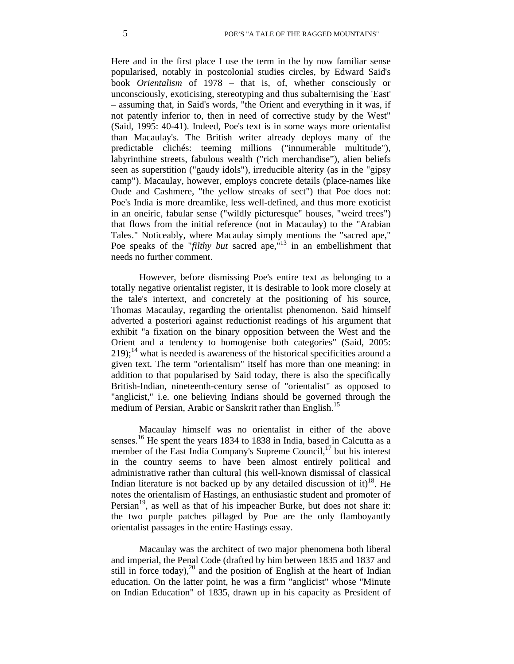Here and in the first place I use the term in the by now familiar sense popularised, notably in postcolonial studies circles, by Edward Said's book *Orientalism* of 1978 – that is, of, whether consciously or unconsciously, exoticising, stereotyping and thus subalternising the 'East' – assuming that, in Said's words, "the Orient and everything in it was, if not patently inferior to, then in need of corrective study by the West" (Said, 1995: 40-41). Indeed, Poe's text is in some ways more orientalist than Macaulay's. The British writer already deploys many of the predictable clichés: teeming millions ("innumerable multitude"), labyrinthine streets, fabulous wealth ("rich merchandise"), alien beliefs seen as superstition ("gaudy idols"), irreducible alterity (as in the "gipsy camp"). Macaulay, however, employs concrete details (place-names like Oude and Cashmere, "the yellow streaks of sect") that Poe does not: Poe's India is more dreamlike, less well-defined, and thus more exoticist in an oneiric, fabular sense ("wildly picturesque" houses, "weird trees") that flows from the initial reference (not in Macaulay) to the "Arabian Tales." Noticeably, where Macaulay simply mentions the "sacred ape," Poe speaks of the "*filthy but* sacred ape,"<sup>13</sup> in an embellishment that needs no further comment.

However, before dismissing Poe's entire text as belonging to a totally negative orientalist register, it is desirable to look more closely at the tale's intertext, and concretely at the positioning of his source, Thomas Macaulay, regarding the orientalist phenomenon. Said himself adverted a posteriori against reductionist readings of his argument that exhibit "a fixation on the binary opposition between the West and the Orient and a tendency to homogenise both categories" (Said, 2005:  $219$ ;<sup>14</sup> what is needed is awareness of the historical specificities around a given text. The term "orientalism" itself has more than one meaning: in addition to that popularised by Said today, there is also the specifically British-Indian, nineteenth-century sense of "orientalist" as opposed to "anglicist," i.e. one believing Indians should be governed through the medium of Persian, Arabic or Sanskrit rather than English.<sup>15</sup>

Macaulay himself was no orientalist in either of the above senses.<sup>16</sup> He spent the years 1834 to 1838 in India, based in Calcutta as a member of the East India Company's Supreme Council, $17$  but his interest in the country seems to have been almost entirely political and administrative rather than cultural (his well-known dismissal of classical Indian literature is not backed up by any detailed discussion of it)<sup>18</sup>. He notes the orientalism of Hastings, an enthusiastic student and promoter of Persian<sup>19</sup>, as well as that of his impeacher Burke, but does not share it: the two purple patches pillaged by Poe are the only flamboyantly orientalist passages in the entire Hastings essay.

Macaulay was the architect of two major phenomena both liberal and imperial, the Penal Code (drafted by him between 1835 and 1837 and still in force today),<sup>20</sup> and the position of English at the heart of Indian education. On the latter point, he was a firm "anglicist" whose "Minute on Indian Education" of 1835, drawn up in his capacity as President of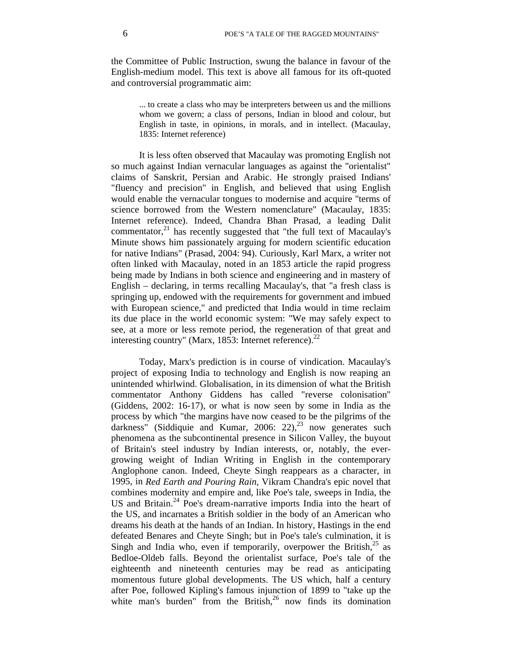the Committee of Public Instruction, swung the balance in favour of the English-medium model. This text is above all famous for its oft-quoted and controversial programmatic aim:

... to create a class who may be interpreters between us and the millions whom we govern; a class of persons, Indian in blood and colour, but English in taste, in opinions, in morals, and in intellect. (Macaulay, 1835: Internet reference)

It is less often observed that Macaulay was promoting English not so much against Indian vernacular languages as against the "orientalist" claims of Sanskrit, Persian and Arabic. He strongly praised Indians' "fluency and precision" in English, and believed that using English would enable the vernacular tongues to modernise and acquire "terms of science borrowed from the Western nomenclature" (Macaulay, 1835: Internet reference). Indeed, Chandra Bhan Prasad, a leading Dalit commentator, $^{21}$  has recently suggested that "the full text of Macaulay's Minute shows him passionately arguing for modern scientific education for native Indians" (Prasad, 2004: 94). Curiously, Karl Marx, a writer not often linked with Macaulay, noted in an 1853 article the rapid progress being made by Indians in both science and engineering and in mastery of English – declaring, in terms recalling Macaulay's, that "a fresh class is springing up, endowed with the requirements for government and imbued with European science," and predicted that India would in time reclaim its due place in the world economic system: "We may safely expect to see, at a more or less remote period, the regeneration of that great and interesting country" (Marx, 1853: Internet reference). $^{22}$ 

Today, Marx's prediction is in course of vindication. Macaulay's project of exposing India to technology and English is now reaping an unintended whirlwind. Globalisation, in its dimension of what the British commentator Anthony Giddens has called "reverse colonisation" (Giddens, 2002: 16-17), or what is now seen by some in India as the process by which "the margins have now ceased to be the pilgrims of the darkness" (Siddiquie and Kumar, 2006: 22), $^{23}$  now generates such phenomena as the subcontinental presence in Silicon Valley, the buyout of Britain's steel industry by Indian interests, or, notably, the evergrowing weight of Indian Writing in English in the contemporary Anglophone canon. Indeed, Cheyte Singh reappears as a character, in 1995, in *Red Earth and Pouring Rain,* Vikram Chandra's epic novel that combines modernity and empire and, like Poe's tale, sweeps in India, the US and Britain.<sup>24</sup> Poe's dream-narrative imports India into the heart of the US, and incarnates a British soldier in the body of an American who dreams his death at the hands of an Indian. In history, Hastings in the end defeated Benares and Cheyte Singh; but in Poe's tale's culmination, it is Singh and India who, even if temporarily, overpower the British, $^{25}$  as Bedloe-Oldeb falls. Beyond the orientalist surface, Poe's tale of the eighteenth and nineteenth centuries may be read as anticipating momentous future global developments. The US which, half a century after Poe, followed Kipling's famous injunction of 1899 to "take up the white man's burden" from the British, $26$  now finds its domination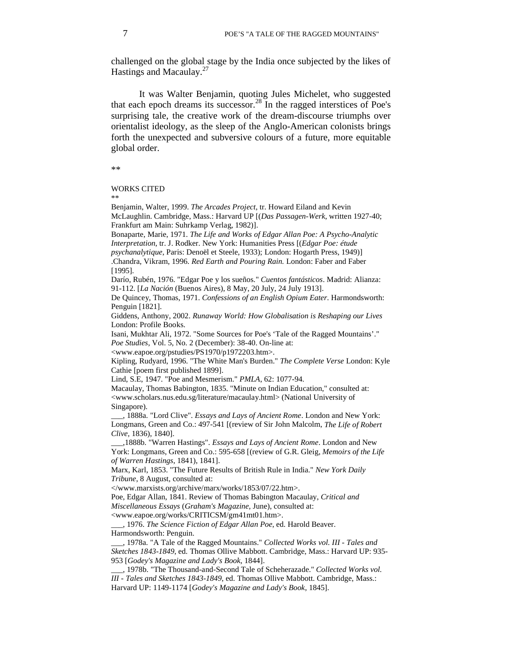challenged on the global stage by the India once subjected by the likes of Hastings and Macaulay. $27$ 

It was Walter Benjamin, quoting Jules Michelet, who suggested that each epoch dreams its successor.<sup>28</sup> In the ragged interstices of Poe's surprising tale, the creative work of the dream-discourse triumphs over orientalist ideology, as the sleep of the Anglo-American colonists brings forth the unexpected and subversive colours of a future, more equitable global order.

\*\*

## WORKS CITED

\*\*

Benjamin, Walter, 1999. *The Arcades Project*, tr. Howard Eiland and Kevin McLaughlin. Cambridge, Mass.: Harvard UP [(*Das Passagen-Werk*, written 1927-40; Frankfurt am Main: Suhrkamp Verlag, 1982)].

Bonaparte, Marie, 1971. *The Life and Works of Edgar Allan Poe: A Psycho-Analytic Interpretation*, tr. J. Rodker. New York: Humanities Press [(*Edgar Poe: étude psychanalytique*, Paris: Denoël et Steele, 1933); London: Hogarth Press, 1949)]

.Chandra, Vikram, 1996. *Red Earth and Pouring Rain.* London: Faber and Faber [1995].

Darío, Rubén, 1976. "Edgar Poe y los sueños." *Cuentos fantásticos*. Madrid: Alianza: 91-112. [*La Nación* (Buenos Aires), 8 May, 20 July, 24 July 1913].

De Quincey, Thomas, 1971. *Confessions of an English Opium Eater*. Harmondsworth: Penguin [1821].

Giddens, Anthony, 2002. *Runaway World: How Globalisation is Reshaping our Lives* London: Profile Books.

Isani, Mukhtar Ali, 1972. "Some Sources for Poe's 'Tale of the Ragged Mountains'." *Poe Studies*, Vol. 5, No. 2 (December): 38-40. On-line at:

<www.eapoe.org/pstudies/PS1970/p1972203.htm>.

Kipling, Rudyard, 1996. "The White Man's Burden." *The Complete Verse* London: Kyle Cathie [poem first published 1899].

Lind, S.E, 1947. "Poe and Mesmerism." *PMLA*, 62: 1077-94.

Macaulay, Thomas Babington, 1835. "Minute on Indian Education," consulted at: <www.scholars.nus.edu.sg/literature/macaulay.html> (National University of Singapore).

\_\_\_, 1888a. "Lord Clive". *Essays and Lays of Ancient Rome*. London and New York: Longmans, Green and Co.: 497-541 [(review of Sir John Malcolm, *The Life of Robert Clive,* 1836), 1840].

\_\_\_,1888b. "Warren Hastings". *Essays and Lays of Ancient Rome*. London and New York: Longmans, Green and Co.: 595-658 [(review of G.R. Gleig, *Memoirs of the Life of Warren Hastings*, 1841), 1841].

Marx, Karl, 1853. "The Future Results of British Rule in India." *New York Daily Tribune*, 8 August, consulted at:

</www.marxists.org/archive/marx/works/1853/07/22.htm>.

Poe, Edgar Allan, 1841. Review of Thomas Babington Macaulay, *Critical and* 

*Miscellaneous Essays* (*Graham's Magazine,* June), consulted at:

<www.eapoe.org/works/CRITICSM/gm41mt01.htm>.

\_\_\_, 1976. *The Science Fiction of Edgar Allan Poe*, ed. Harold Beaver. Harmondsworth: Penguin.

\_\_\_, 1978a. "A Tale of the Ragged Mountains." *Collected Works vol. III - Tales and Sketches 1843-1849*, ed. Thomas Ollive Mabbott. Cambridge, Mass.: Harvard UP: 935- 953 [*Godey's Magazine and Lady's Book*, 1844].

\_\_\_, 1978b. "The Thousand-and-Second Tale of Scheherazade." *Collected Works vol. III - Tales and Sketches 1843-1849*, ed. Thomas Ollive Mabbott. Cambridge, Mass.: Harvard UP: 1149-1174 [*Godey's Magazine and Lady's Book*, 1845].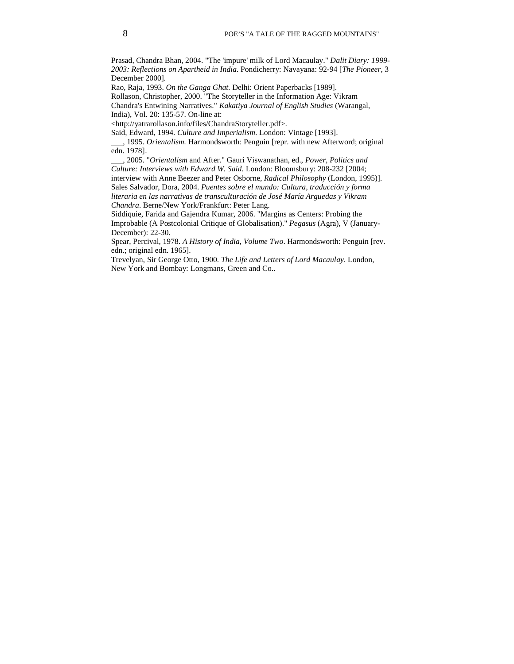Prasad, Chandra Bhan, 2004. "The 'impure' milk of Lord Macaulay." *Dalit Diary: 1999- 2003: Reflections on Apartheid in India*. Pondicherry: Navayana: 92-94 [*The Pioneer,* 3 December 2000].

Rao, Raja, 1993. *On the Ganga Ghat*. Delhi: Orient Paperbacks [1989].

Rollason, Christopher, 2000. "The Storyteller in the Information Age: Vikram Chandra's Entwining Narratives." *Kakatiya Journal of English Studies* (Warangal, India), Vol. 20: 135-57. On-line at:

<http://yatrarollason.info/files/ChandraStoryteller.pdf>.

Said, Edward, 1994. *Culture and Imperialism*. London: Vintage [1993].

\_\_\_, 1995. *Orientalism.* Harmondsworth: Penguin [repr. with new Afterword; original edn. 1978].

\_\_\_, 2005. "*Orientalism* and After." Gauri Viswanathan, ed., *Power, Politics and Culture: Interviews with Edward W. Said*. London: Bloomsbury: 208-232 [2004; interview with Anne Beezer and Peter Osborne, *Radical Philosophy* (London, 1995)]. Sales Salvador, Dora, 2004. *Puentes sobre el mundo: Cultura, traducción y forma literaria en las narrativas de transculturación de José María Arguedas y Vikram Chandra*. Berne/New York/Frankfurt: Peter Lang.

Siddiquie, Farida and Gajendra Kumar, 2006. "Margins as Centers: Probing the Improbable (A Postcolonial Critique of Globalisation)." *Pegasus* (Agra), V (January-December): 22-30.

Spear, Percival, 1978. *A History of India, Volume Two*. Harmondsworth: Penguin [rev. edn.; original edn. 1965].

Trevelyan, Sir George Otto, 1900. *The Life and Letters of Lord Macaulay*. London, New York and Bombay: Longmans, Green and Co..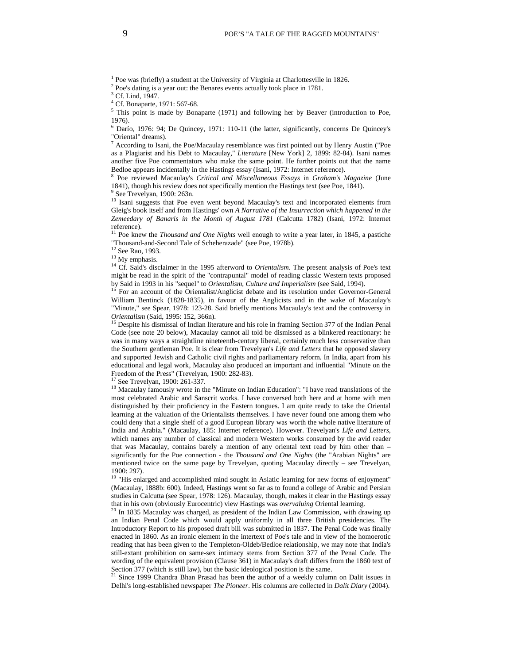$6$  Darío, 1976: 94; De Quincey, 1971: 110-11 (the latter, significantly, concerns De Quincey's "Oriental" dreams).

 $^7$  According to Isani, the Poe/Macaulay resemblance was first pointed out by Henry Austin ("Poe as a Plagiarist and his Debt to Macaulay," *Literature* [New York] 2, 1899: 82-84). Isani names another five Poe commentators who make the same point. He further points out that the name Bedloe appears incidentally in the Hastings essay (Isani, 1972: Internet reference).

<sup>10</sup> Isani suggests that Poe even went beyond Macaulay's text and incorporated elements from Gleig's book itself and from Hastings' own *A Narrative of the Insurrection which happened in the Zemeedary of Banaris in the Month of August 1781* (Calcutta 1782) (Isani, 1972: Internet

<sup>13</sup> My emphasis.<br><sup>14</sup> Cf. Said's disclaimer in the 1995 afterword to *Orientalism*. The present analysis of Poe's text might be read in the spirit of the "contrapuntal" model of reading classic Western texts proposed by Said in 1993 in his "sequel" to *Orientalism*, *Culture and Imperialism* (see Said, 1994).<br><sup>15</sup> For an account of the Orientalist/Anglicist debate and its resolution under Governor-General

William Bentinck (1828-1835), in favour of the Anglicists and in the wake of Macaulay's "Minute," see Spear, 1978: 123-28. Said briefly mentions Macaulay's text and the controversy in

*Orientalism* (Said, 1995: 152, 366n).<br><sup>16</sup> Despite his dismissal of Indian literature and his role in framing Section 377 of the Indian Penal Code (see note 20 below), Macaulay cannot all told be dismissed as a blinkered reactionary: he was in many ways a straightline nineteenth-century liberal, certainly much less conservative than the Southern gentleman Poe. It is clear from Trevelyan's *Life and Letters* that he opposed slavery and supported Jewish and Catholic civil rights and parliamentary reform. In India, apart from his educational and legal work, Macaulay also produced an important and influential "Minute on the Freedom of the Press" (Trevelyan, 1900: 282-83).<br><sup>17</sup> See Trevelyan, 1900: 261-337.

 $18$  Macaulay famously wrote in the "Minute on Indian Education": "I have read translations of the most celebrated Arabic and Sanscrit works. I have conversed both here and at home with men distinguished by their proficiency in the Eastern tongues. I am quite ready to take the Oriental learning at the valuation of the Orientalists themselves. I have never found one among them who could deny that a single shelf of a good European library was worth the whole native literature of India and Arabia." (Macaulay, 185: Internet reference). However. Trevelyan's *Life and Letters*, which names any number of classical and modern Western works consumed by the avid reader that was Macaulay, contains barely a mention of any oriental text read by him other than – significantly for the Poe connection - the *Thousand and One Nights* (the "Arabian Nights" are mentioned twice on the same page by Trevelyan, quoting Macaulay directly – see Trevelyan, 1900: 297).

<sup>19</sup> "His enlarged and accomplished mind sought in Asiatic learning for new forms of enjoyment" (Macaulay, 1888b: 600). Indeed, Hastings went so far as to found a college of Arabic and Persian studies in Calcutta (see Spear, 1978: 126). Macaulay, though, makes it clear in the Hastings essay that in his own (obviously Eurocentric) view Hastings was *overvaluing* Oriental learning.<br><sup>20</sup> In 1835 Macaulay was charged, as president of the Indian Law Commission, with drawing up

an Indian Penal Code which would apply uniformly in all three British presidencies. The Introductory Report to his proposed draft bill was submitted in 1837. The Penal Code was finally enacted in 1860. As an ironic element in the intertext of Poe's tale and in view of the homoerotic reading that has been given to the Templeton-Oldeb/Bedloe relationship, we may note that India's still-extant prohibition on same-sex intimacy stems from Section 377 of the Penal Code. The wording of the equivalent provision (Clause 361) in Macaulay's draft differs from the 1860 text of Section 377 (which is still law), but the basic ideological position is the same.

<sup>21</sup> Since 1999 Chandra Bhan Prasad has been the author of a weekly column on Dalit issues in Delhi's long-established newspaper *The Pioneer*. His columns are collected in *Dalit Diary* (2004).

 $\overline{a}$ 

<sup>1</sup> Poe was (briefly) a student at the University of Virginia at Charlottesville in 1826.

<sup>&</sup>lt;sup>2</sup> Poe's dating is a year out: the Benares events actually took place in 1781.

<sup>&</sup>lt;sup>3</sup> Cf. Lind, 1947.

<sup>4</sup> Cf. Bonaparte, 1971: 567-68.

<sup>&</sup>lt;sup>5</sup> This point is made by Bonaparte (1971) and following her by Beaver (introduction to Poe, 1976).

<sup>8</sup> Poe reviewed Macaulay's *Critical and Miscellaneous Essays* in *Graham's Magazine* (June 1841), though his review does not specifically mention the Hastings text (see Poe, 1841). See Trevelyan, 1900: 263n.

reference). <sup>11</sup> Poe knew the *Thousand and One Nights* well enough to write a year later, in 1845, a pastiche "Thousand-and-Second Tale of Scheherazade" (see Poe, 1978b).<br><sup>12</sup> See Rao. 1993.